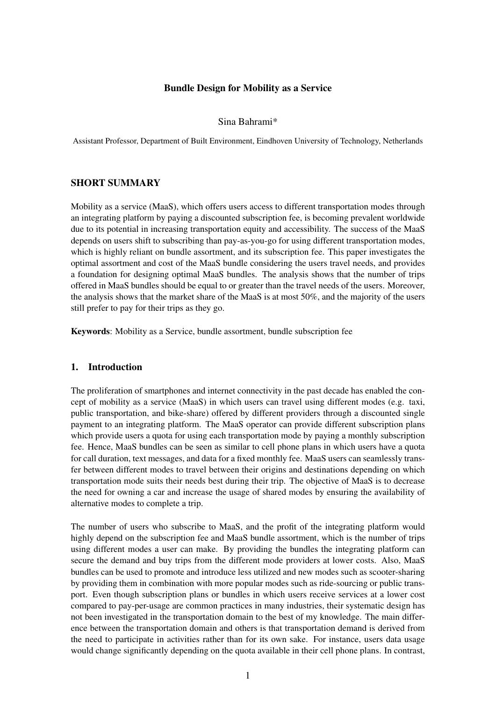# Bundle Design for Mobility as a Service

### Sina Bahrami\*

Assistant Professor, Department of Built Environment, Eindhoven University of Technology, Netherlands

## SHORT SUMMARY

Mobility as a service (MaaS), which offers users access to different transportation modes through an integrating platform by paying a discounted subscription fee, is becoming prevalent worldwide due to its potential in increasing transportation equity and accessibility. The success of the MaaS depends on users shift to subscribing than pay-as-you-go for using different transportation modes, which is highly reliant on bundle assortment, and its subscription fee. This paper investigates the optimal assortment and cost of the MaaS bundle considering the users travel needs, and provides a foundation for designing optimal MaaS bundles. The analysis shows that the number of trips offered in MaaS bundles should be equal to or greater than the travel needs of the users. Moreover, the analysis shows that the market share of the MaaS is at most 50%, and the majority of the users still prefer to pay for their trips as they go.

Keywords: Mobility as a Service, bundle assortment, bundle subscription fee

#### 1. Introduction

The proliferation of smartphones and internet connectivity in the past decade has enabled the concept of mobility as a service (MaaS) in which users can travel using different modes (e.g. taxi, public transportation, and bike-share) offered by different providers through a discounted single payment to an integrating platform. The MaaS operator can provide different subscription plans which provide users a quota for using each transportation mode by paying a monthly subscription fee. Hence, MaaS bundles can be seen as similar to cell phone plans in which users have a quota for call duration, text messages, and data for a fixed monthly fee. MaaS users can seamlessly transfer between different modes to travel between their origins and destinations depending on which transportation mode suits their needs best during their trip. The objective of MaaS is to decrease the need for owning a car and increase the usage of shared modes by ensuring the availability of alternative modes to complete a trip.

The number of users who subscribe to MaaS, and the profit of the integrating platform would highly depend on the subscription fee and MaaS bundle assortment, which is the number of trips using different modes a user can make. By providing the bundles the integrating platform can secure the demand and buy trips from the different mode providers at lower costs. Also, MaaS bundles can be used to promote and introduce less utilized and new modes such as scooter-sharing by providing them in combination with more popular modes such as ride-sourcing or public transport. Even though subscription plans or bundles in which users receive services at a lower cost compared to pay-per-usage are common practices in many industries, their systematic design has not been investigated in the transportation domain to the best of my knowledge. The main difference between the transportation domain and others is that transportation demand is derived from the need to participate in activities rather than for its own sake. For instance, users data usage would change significantly depending on the quota available in their cell phone plans. In contrast,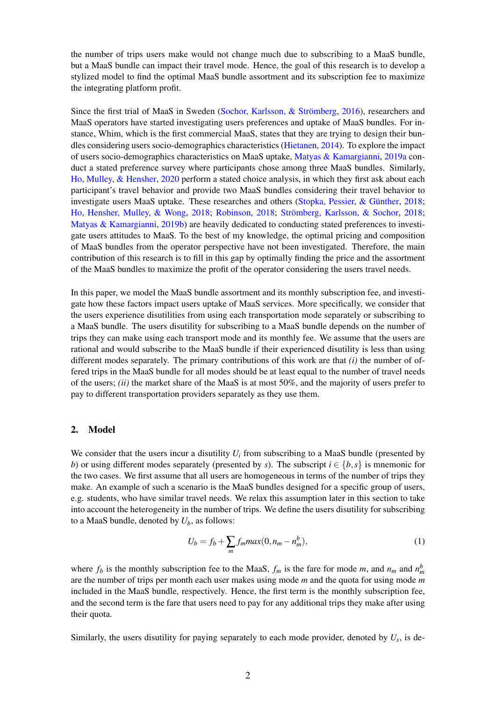the number of trips users make would not change much due to subscribing to a MaaS bundle, but a MaaS bundle can impact their travel mode. Hence, the goal of this research is to develop a stylized model to find the optimal MaaS bundle assortment and its subscription fee to maximize the integrating platform profit.

Since the first trial of MaaS in Sweden [\(Sochor, Karlsson, & Strömberg,](#page-8-0) [2016\)](#page-8-0), researchers and MaaS operators have started investigating users preferences and uptake of MaaS bundles. For instance, Whim, which is the first commercial MaaS, states that they are trying to design their bundles considering users socio-demographics characteristics [\(Hietanen,](#page-8-1) [2014\)](#page-8-1). To explore the impact of users socio-demographics characteristics on MaaS uptake, [Matyas & Kamargianni,](#page-8-2) [2019a](#page-8-2) conduct a stated preference survey where participants chose among three MaaS bundles. Similarly, [Ho, Mulley, & Hensher,](#page-8-3) [2020](#page-8-3) perform a stated choice analysis, in which they first ask about each participant's travel behavior and provide two MaaS bundles considering their travel behavior to investigate users MaaS uptake. These researches and others [\(Stopka, Pessier, & Günther,](#page-8-4) [2018;](#page-8-4) [Ho, Hensher, Mulley, & Wong,](#page-8-5) [2018;](#page-8-5) [Robinson,](#page-8-6) [2018;](#page-8-6) [Strömberg, Karlsson, & Sochor,](#page-8-7) [2018;](#page-8-7) [Matyas & Kamargianni,](#page-8-8) [2019b\)](#page-8-8) are heavily dedicated to conducting stated preferences to investigate users attitudes to MaaS. To the best of my knowledge, the optimal pricing and composition of MaaS bundles from the operator perspective have not been investigated. Therefore, the main contribution of this research is to fill in this gap by optimally finding the price and the assortment of the MaaS bundles to maximize the profit of the operator considering the users travel needs.

In this paper, we model the MaaS bundle assortment and its monthly subscription fee, and investigate how these factors impact users uptake of MaaS services. More specifically, we consider that the users experience disutilities from using each transportation mode separately or subscribing to a MaaS bundle. The users disutility for subscribing to a MaaS bundle depends on the number of trips they can make using each transport mode and its monthly fee. We assume that the users are rational and would subscribe to the MaaS bundle if their experienced disutility is less than using different modes separately. The primary contributions of this work are that *(i)* the number of offered trips in the MaaS bundle for all modes should be at least equal to the number of travel needs of the users; *(ii)* the market share of the MaaS is at most 50%, and the majority of users prefer to pay to different transportation providers separately as they use them.

#### 2. Model

We consider that the users incur a disutility  $U_i$  from subscribing to a MaaS bundle (presented by *b*) or using different modes separately (presented by *s*). The subscript  $i \in \{b, s\}$  is mnemonic for the two cases. We first assume that all users are homogeneous in terms of the number of trips they make. An example of such a scenario is the MaaS bundles designed for a specific group of users, e.g. students, who have similar travel needs. We relax this assumption later in this section to take into account the heterogeneity in the number of trips. We define the users disutility for subscribing to a MaaS bundle, denoted by  $U_b$ , as follows:

$$
U_b = f_b + \sum_m f_m max(0, n_m - n_m^b), \qquad (1)
$$

where  $f_b$  is the monthly subscription fee to the MaaS,  $f_m$  is the fare for mode *m*, and  $n_m$  and  $n_m^b$ are the number of trips per month each user makes using mode *m* and the quota for using mode *m* included in the MaaS bundle, respectively. Hence, the first term is the monthly subscription fee, and the second term is the fare that users need to pay for any additional trips they make after using their quota.

Similarly, the users disutility for paying separately to each mode provider, denoted by *U<sup>s</sup>* , is de-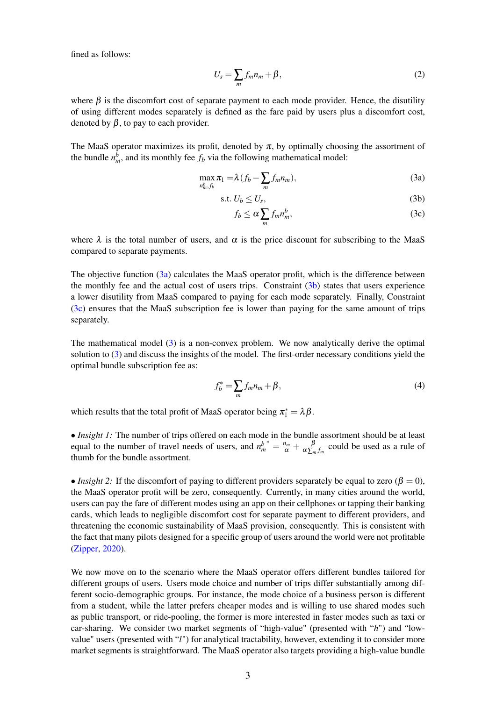fined as follows:

$$
U_s = \sum_m f_m n_m + \beta, \qquad (2)
$$

where  $\beta$  is the discomfort cost of separate payment to each mode provider. Hence, the disutility of using different modes separately is defined as the fare paid by users plus a discomfort cost, denoted by  $\beta$ , to pay to each provider.

The MaaS operator maximizes its profit, denoted by  $\pi$ , by optimally choosing the assortment of the bundle  $n_m^b$ , and its monthly fee  $f_b$  via the following mathematical model:

$$
\max_{n_m^b, f_b} \pi_1 = \lambda \left( f_b - \sum_m f_m n_m \right),\tag{3a}
$$

$$
s.t. U_b \le U_s,\tag{3b}
$$

<span id="page-2-3"></span><span id="page-2-2"></span><span id="page-2-1"></span><span id="page-2-0"></span>
$$
f_b \le \alpha \sum_m f_m n_m^b, \tag{3c}
$$

where  $\lambda$  is the total number of users, and  $\alpha$  is the price discount for subscribing to the MaaS compared to separate payments.

The objective function [\(3a\)](#page-2-0) calculates the MaaS operator profit, which is the difference between the monthly fee and the actual cost of users trips. Constraint  $(3b)$  states that users experience a lower disutility from MaaS compared to paying for each mode separately. Finally, Constraint [\(3c\)](#page-2-2) ensures that the MaaS subscription fee is lower than paying for the same amount of trips separately.

The mathematical model [\(3\)](#page-2-3) is a non-convex problem. We now analytically derive the optimal solution to [\(3\)](#page-2-3) and discuss the insights of the model. The first-order necessary conditions yield the optimal bundle subscription fee as:

$$
f_b^* = \sum_m f_m n_m + \beta,\tag{4}
$$

which results that the total profit of MaaS operator being  $\pi_1^* = \lambda \beta$ .

• *Insight 1:* The number of trips offered on each mode in the bundle assortment should be at least equal to the number of travel needs of users, and  $n_m^b$  $^*=\frac{n_m}{\alpha}+\frac{\beta}{\alpha\sum_n}$  $rac{p}{\alpha \sum_m f_m}$  could be used as a rule of thumb for the bundle assortment.

• *Insight 2:* If the discomfort of paying to different providers separately be equal to zero ( $\beta = 0$ ), the MaaS operator profit will be zero, consequently. Currently, in many cities around the world, users can pay the fare of different modes using an app on their cellphones or tapping their banking cards, which leads to negligible discomfort cost for separate payment to different providers, and threatening the economic sustainability of MaaS provision, consequently. This is consistent with the fact that many pilots designed for a specific group of users around the world were not profitable [\(Zipper,](#page-8-9) [2020\)](#page-8-9).

We now move on to the scenario where the MaaS operator offers different bundles tailored for different groups of users. Users mode choice and number of trips differ substantially among different socio-demographic groups. For instance, the mode choice of a business person is different from a student, while the latter prefers cheaper modes and is willing to use shared modes such as public transport, or ride-pooling, the former is more interested in faster modes such as taxi or car-sharing. We consider two market segments of "high-value" (presented with "*h*") and "lowvalue" users (presented with "*l*") for analytical tractability, however, extending it to consider more market segments is straightforward. The MaaS operator also targets providing a high-value bundle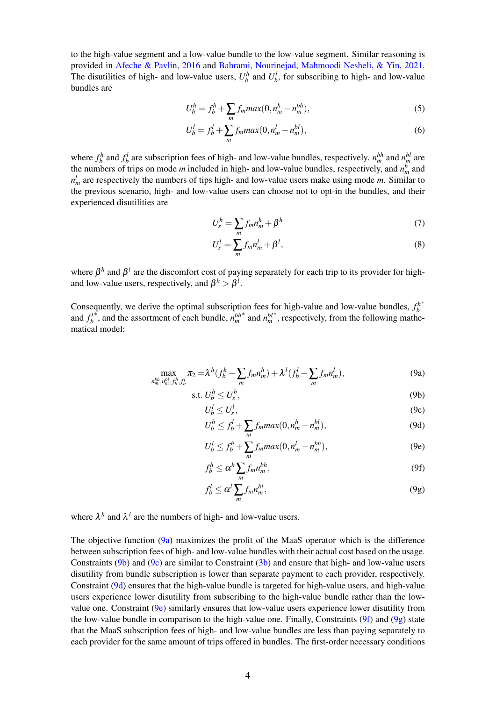to the high-value segment and a low-value bundle to the low-value segment. Similar reasoning is provided in [Afeche & Pavlin,](#page-8-10) [2016](#page-8-10) and [Bahrami, Nourinejad, Mahmoodi Nesheli, & Yin,](#page-8-11) [2021.](#page-8-11) The disutilities of high- and low-value users,  $U_b^h$  and  $U_b^l$ , for subscribing to high- and low-value bundles are

$$
U_b^h = f_b^h + \sum_m f_m max(0, n_m^h - n_m^{bh}),
$$
\n(5)

$$
U_b^l = f_b^l + \sum_m f_m max(0, n_m^l - n_m^{bl}),
$$
\n(6)

where  $f_b^h$  and  $f_b^l$  are subscription fees of high- and low-value bundles, respectively.  $n_m^{bh}$  and  $n_m^{bl}$  are the numbers of trips on mode  $m$  included in high- and low-value bundles, respectively, and  $n_m^h$  and  $n_m^l$  are respectively the numbers of tips high- and low-value users make using mode *m*. Similar to the previous scenario, high- and low-value users can choose not to opt-in the bundles, and their experienced disutilities are

$$
U_s^h = \sum_m f_m n_m^h + \beta^h \tag{7}
$$

$$
U_s^l = \sum_m f_m n_m^l + \beta^l,\tag{8}
$$

where  $\beta^h$  and  $\beta^l$  are the discomfort cost of paying separately for each trip to its provider for highand low-value users, respectively, and  $\beta^h > \beta^l$ .

<span id="page-3-7"></span>Consequently, we derive the optimal subscription fees for high-value and low-value bundles,  $f_b^h$ ∗ and  $f_b^l$ <sup> $*$ </sup>, and the assortment of each bundle,  $n_m^{bh}$ ∗ and *n bl m* ∗ , respectively, from the following mathematical model:

$$
\max_{n_m^{bh}, n_m^{bl}, f_b^h, f_b^l} \pi_2 = \lambda^h (f_b^h - \sum_m f_m n_m^h) + \lambda^l (f_b^l - \sum_m f_m n_m^l),
$$
\n(9a)

$$
\text{s.t. } U^h_b \le U^h_s,\tag{9b}
$$

<span id="page-3-3"></span><span id="page-3-2"></span><span id="page-3-1"></span><span id="page-3-0"></span>
$$
U_b^l \le U_s^l,\tag{9c}
$$

$$
U_b^h \le f_b^l + \sum_m f_m max(0, n_m^h - n_m^{bl}),\tag{9d}
$$

<span id="page-3-4"></span>
$$
U_b^l \le f_b^h + \sum_m f_m max(0, n_m^l - n_m^{bh}),\tag{9e}
$$

<span id="page-3-5"></span>
$$
f_b^h \le \alpha^h \sum_m f_m n_m^{bh},\tag{9f}
$$

<span id="page-3-6"></span>
$$
f_b^l \le \alpha^l \sum_m f_m n_m^{bl},\tag{9g}
$$

where  $\lambda^h$  and  $\lambda^l$  are the numbers of high- and low-value users.

The objective function [\(9a\)](#page-3-0) maximizes the profit of the MaaS operator which is the difference between subscription fees of high- and low-value bundles with their actual cost based on the usage. Constraints [\(9b\)](#page-3-1) and [\(9c\)](#page-3-2) are similar to Constraint [\(3b\)](#page-2-1) and ensure that high- and low-value users disutility from bundle subscription is lower than separate payment to each provider, respectively. Constraint [\(9d\)](#page-3-3) ensures that the high-value bundle is targeted for high-value users, and high-value users experience lower disutility from subscribing to the high-value bundle rather than the lowvalue one. Constraint  $(9e)$  similarly ensures that low-value users experience lower disutility from the low-value bundle in comparison to the high-value one. Finally, Constraints  $(9f)$  and  $(9g)$  state that the MaaS subscription fees of high- and low-value bundles are less than paying separately to each provider for the same amount of trips offered in bundles. The first-order necessary conditions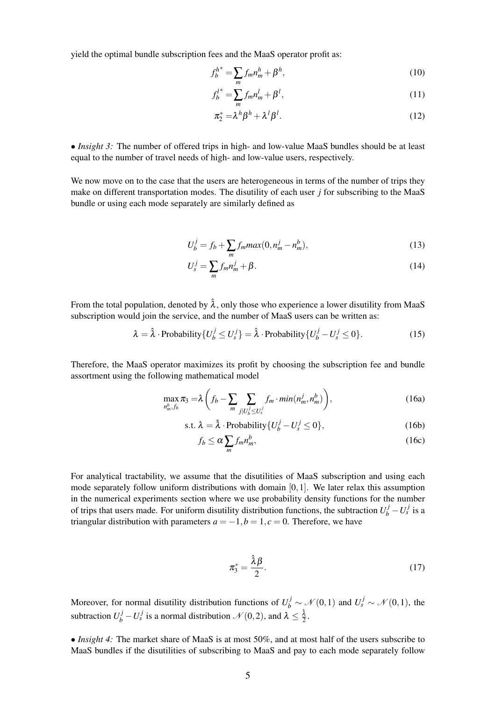yield the optimal bundle subscription fees and the MaaS operator profit as:

$$
f_b^{h^*} = \sum_m f_m n_m^h + \beta^h,
$$
\n(10)

$$
f_b^{l^*} = \sum_m f_m n_m^l + \beta^l,
$$
\n(11)

$$
\pi_2^* = \lambda^h \beta^h + \lambda^l \beta^l. \tag{12}
$$

• *Insight 3:* The number of offered trips in high- and low-value MaaS bundles should be at least equal to the number of travel needs of high- and low-value users, respectively.

We now move on to the case that the users are heterogeneous in terms of the number of trips they make on different transportation modes. The disutility of each user *j* for subscribing to the MaaS bundle or using each mode separately are similarly defined as

$$
U_b^j = f_b + \sum_m f_m max(0, n_m^j - n_m^b),
$$
\n(13)

$$
U_s^j = \sum_m f_m n_m^j + \beta. \tag{14}
$$

From the total population, denoted by  $\hat{\lambda}$ , only those who experience a lower disutility from MaaS subscription would join the service, and the number of MaaS users can be written as:

$$
\lambda = \hat{\lambda} \cdot \text{Probability}\{U_b^j \le U_s^j\} = \hat{\lambda} \cdot \text{Probability}\{U_b^j - U_s^j \le 0\}.
$$
 (15)

Therefore, the MaaS operator maximizes its profit by choosing the subscription fee and bundle assortment using the following mathematical model

$$
\max_{n_m^b, f_b} \pi_3 = \lambda \left( f_b - \sum_m \sum_{j | U_b^j \le U_s^j} f_m \cdot min(n_m^j, n_m^b) \right),\tag{16a}
$$

s.t. 
$$
\lambda = \hat{\lambda}
$$
 \n- Probability  $\{U_b^j - U_s^j \le 0\}$ , (16b)

<span id="page-4-0"></span>
$$
f_b \le \alpha \sum_m f_m n_m^b, \tag{16c}
$$

For analytical tractability, we assume that the disutilities of MaaS subscription and using each mode separately follow uniform distributions with domain  $[0,1]$ . We later relax this assumption in the numerical experiments section where we use probability density functions for the number of trips that users made. For uniform disutility distribution functions, the subtraction  $U_b^j - U_s^j$  is a triangular distribution with parameters  $a = -1$ ,  $b = 1$ ,  $c = 0$ . Therefore, we have

$$
\pi_3^* = \frac{\hat{\lambda}\beta}{2}.\tag{17}
$$

Moreover, for normal disutility distribution functions of  $U_b^j \sim \mathcal{N}(0,1)$  and  $U_s^j \sim \mathcal{N}(0,1)$ , the subtraction  $U_b^j - U_s^j$  is a normal distribution  $\mathcal{N}(0, 2)$ , and  $\lambda \leq \frac{\hat{\lambda}}{2}$ .

• *Insight 4*: The market share of MaaS is at most 50%, and at most half of the users subscribe to MaaS bundles if the disutilities of subscribing to MaaS and pay to each mode separately follow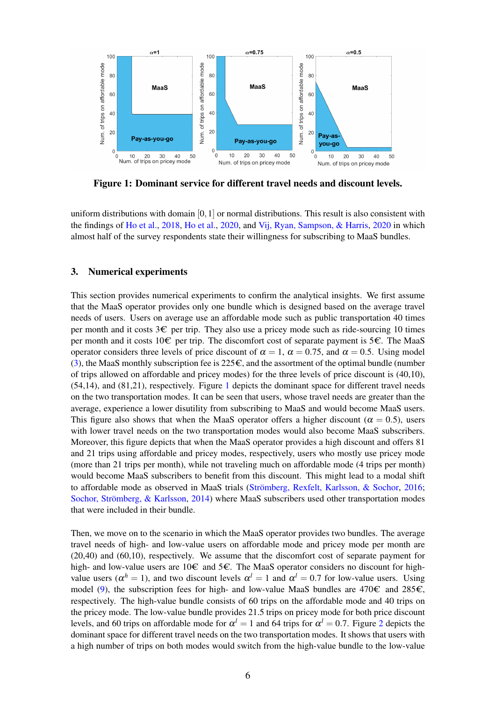<span id="page-5-0"></span>

Figure 1: Dominant service for different travel needs and discount levels.

uniform distributions with domain [0,1] or normal distributions. This result is also consistent with the findings of [Ho et al.,](#page-8-5) [2018,](#page-8-5) [Ho et al.,](#page-8-3) [2020,](#page-8-3) and [Vij, Ryan, Sampson, & Harris,](#page-8-12) [2020](#page-8-12) in which almost half of the survey respondents state their willingness for subscribing to MaaS bundles.

# 3. Numerical experiments

This section provides numerical experiments to confirm the analytical insights. We first assume that the MaaS operator provides only one bundle which is designed based on the average travel needs of users. Users on average use an affordable mode such as public transportation 40 times per month and it costs  $3 \epsilon$  per trip. They also use a pricey mode such as ride-sourcing 10 times per month and it costs 10 $\epsilon$  per trip. The discomfort cost of separate payment is 5 $\epsilon$ . The MaaS operator considers three levels of price discount of  $\alpha = 1$ ,  $\alpha = 0.75$ , and  $\alpha = 0.5$ . Using model [\(3\)](#page-2-3), the MaaS monthly subscription fee is  $225\epsilon$ , and the assortment of the optimal bundle (number of trips allowed on affordable and pricey modes) for the three levels of price discount is (40,10), (54,14), and (81,21), respectively. Figure [1](#page-5-0) depicts the dominant space for different travel needs on the two transportation modes. It can be seen that users, whose travel needs are greater than the average, experience a lower disutility from subscribing to MaaS and would become MaaS users. This figure also shows that when the MaaS operator offers a higher discount ( $\alpha = 0.5$ ), users with lower travel needs on the two transportation modes would also become MaaS subscribers. Moreover, this figure depicts that when the MaaS operator provides a high discount and offers 81 and 21 trips using affordable and pricey modes, respectively, users who mostly use pricey mode (more than 21 trips per month), while not traveling much on affordable mode (4 trips per month) would become MaaS subscribers to benefit from this discount. This might lead to a modal shift to affordable mode as observed in MaaS trials [\(Strömberg, Rexfelt, Karlsson, & Sochor,](#page-8-13) [2016;](#page-8-13) [Sochor, Strömberg, & Karlsson,](#page-8-14) [2014\)](#page-8-14) where MaaS subscribers used other transportation modes that were included in their bundle.

Then, we move on to the scenario in which the MaaS operator provides two bundles. The average travel needs of high- and low-value users on affordable mode and pricey mode per month are (20,40) and (60,10), respectively. We assume that the discomfort cost of separate payment for high- and low-value users are 10 $\epsilon$  and 5 $\epsilon$ . The MaaS operator considers no discount for highvalue users ( $\alpha^h = 1$ ), and two discount levels  $\alpha^l = 1$  and  $\alpha^l = 0.7$  for low-value users. Using model [\(9\)](#page-3-7), the subscription fees for high- and low-value MaaS bundles are  $470\epsilon$  and  $285\epsilon$ , respectively. The high-value bundle consists of 60 trips on the affordable mode and 40 trips on the pricey mode. The low-value bundle provides 21.5 trips on pricey mode for both price discount levels, and 60 trips on affordable mode for  $\alpha^l = 1$  and 64 trips for  $\alpha^l = 0.7$ . Figure [2](#page-6-0) depicts the dominant space for different travel needs on the two transportation modes. It shows that users with a high number of trips on both modes would switch from the high-value bundle to the low-value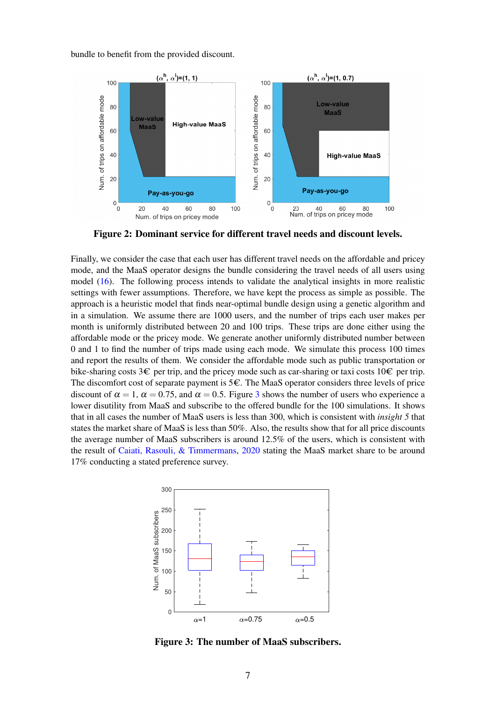<span id="page-6-0"></span>bundle to benefit from the provided discount.



Figure 2: Dominant service for different travel needs and discount levels.

Finally, we consider the case that each user has different travel needs on the affordable and pricey mode, and the MaaS operator designs the bundle considering the travel needs of all users using model [\(16\)](#page-4-0). The following process intends to validate the analytical insights in more realistic settings with fewer assumptions. Therefore, we have kept the process as simple as possible. The approach is a heuristic model that finds near-optimal bundle design using a genetic algorithm and in a simulation. We assume there are 1000 users, and the number of trips each user makes per month is uniformly distributed between 20 and 100 trips. These trips are done either using the affordable mode or the pricey mode. We generate another uniformly distributed number between 0 and 1 to find the number of trips made using each mode. We simulate this process 100 times and report the results of them. We consider the affordable mode such as public transportation or bike-sharing costs  $3 \epsilon$  per trip, and the pricey mode such as car-sharing or taxi costs  $10 \epsilon$  per trip. The discomfort cost of separate payment is  $5\epsilon$ . The MaaS operator considers three levels of price discount of  $\alpha = 1$ ,  $\alpha = 0.75$ , and  $\alpha = 0.5$ . Figure [3](#page-6-1) shows the number of users who experience a lower disutility from MaaS and subscribe to the offered bundle for the 100 simulations. It shows that in all cases the number of MaaS users is less than 300, which is consistent with *insight 5* that states the market share of MaaS is less than 50%. Also, the results show that for all price discounts the average number of MaaS subscribers is around 12.5% of the users, which is consistent with the result of [Caiati, Rasouli, & Timmermans,](#page-8-15) [2020](#page-8-15) stating the MaaS market share to be around 17% conducting a stated preference survey.

<span id="page-6-1"></span>

Figure 3: The number of MaaS subscribers.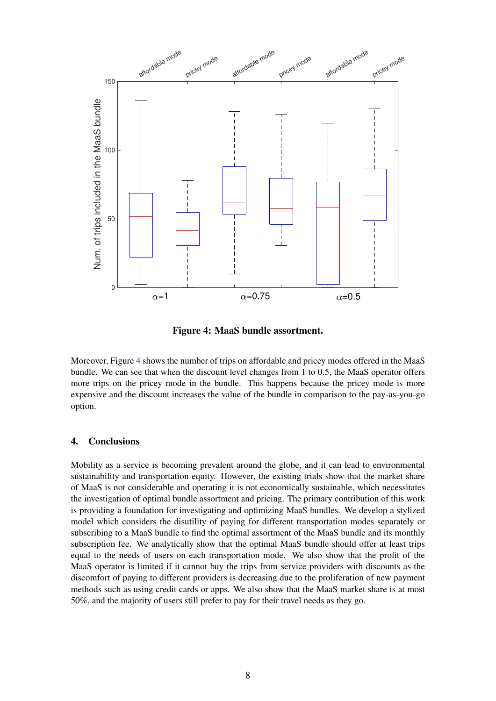<span id="page-7-0"></span>

Figure 4: MaaS bundle assortment.

Moreover, Figure [4](#page-7-0) shows the number of trips on affordable and pricey modes offered in the MaaS bundle. We can see that when the discount level changes from 1 to 0.5, the MaaS operator offers more trips on the pricey mode in the bundle. This happens because the pricey mode is more expensive and the discount increases the value of the bundle in comparison to the pay-as-you-go option.

# 4. Conclusions

Mobility as a service is becoming prevalent around the globe, and it can lead to environmental sustainability and transportation equity. However, the existing trials show that the market share of MaaS is not considerable and operating it is not economically sustainable, which necessitates the investigation of optimal bundle assortment and pricing. The primary contribution of this work is providing a foundation for investigating and optimizing MaaS bundles. We develop a stylized model which considers the disutility of paying for different transportation modes separately or subscribing to a MaaS bundle to find the optimal assortment of the MaaS bundle and its monthly subscription fee. We analytically show that the optimal MaaS bundle should offer at least trips equal to the needs of users on each transportation mode. We also show that the profit of the MaaS operator is limited if it cannot buy the trips from service providers with discounts as the discomfort of paying to different providers is decreasing due to the proliferation of new payment methods such as using credit cards or apps. We also show that the MaaS market share is at most 50%, and the majority of users still prefer to pay for their travel needs as they go.